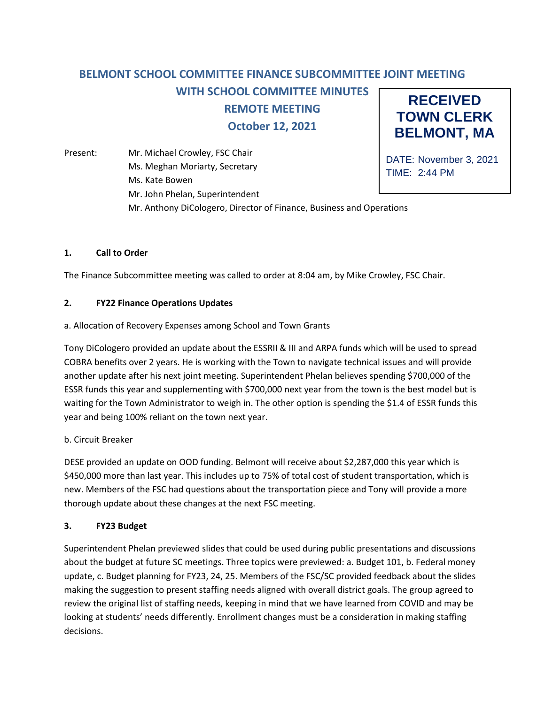#### **RECEIVED TOWN CLERK BELMONT, MA BELMONT SCHOOL COMMITTEE FINANCE SUBCOMMITTEE JOINT MEETING WITH SCHOOL COMMITTEE MINUTES REMOTE MEETING October 12, 2021**

Present: Mr. Michael Crowley, FSC Chair Ms. Meghan Moriarty, Secretary Ms. Kate Bowen Mr. John Phelan, Superintendent Mr. Anthony DiCologero, Director of Finance, Business and Operations

DATE: November 3, 2021 TIME: 2:44 PM

## **1. Call to Order**

The Finance Subcommittee meeting was called to order at 8:04 am, by Mike Crowley, FSC Chair.

### **2. FY22 Finance Operations Updates**

### a. Allocation of Recovery Expenses among School and Town Grants

Tony DiCologero provided an update about the ESSRII & III and ARPA funds which will be used to spread COBRA benefits over 2 years. He is working with the Town to navigate technical issues and will provide another update after his next joint meeting. Superintendent Phelan believes spending \$700,000 of the ESSR funds this year and supplementing with \$700,000 next year from the town is the best model but is waiting for the Town Administrator to weigh in. The other option is spending the \$1.4 of ESSR funds this year and being 100% reliant on the town next year.

#### b. Circuit Breaker

DESE provided an update on OOD funding. Belmont will receive about \$2,287,000 this year which is \$450,000 more than last year. This includes up to 75% of total cost of student transportation, which is new. Members of the FSC had questions about the transportation piece and Tony will provide a more thorough update about these changes at the next FSC meeting.

#### **3. FY23 Budget**

Superintendent Phelan previewed slides that could be used during public presentations and discussions about the budget at future SC meetings. Three topics were previewed: a. Budget 101, b. Federal money update, c. Budget planning for FY23, 24, 25. Members of the FSC/SC provided feedback about the slides making the suggestion to present staffing needs aligned with overall district goals. The group agreed to review the original list of staffing needs, keeping in mind that we have learned from COVID and may be looking at students' needs differently. Enrollment changes must be a consideration in making staffing decisions.